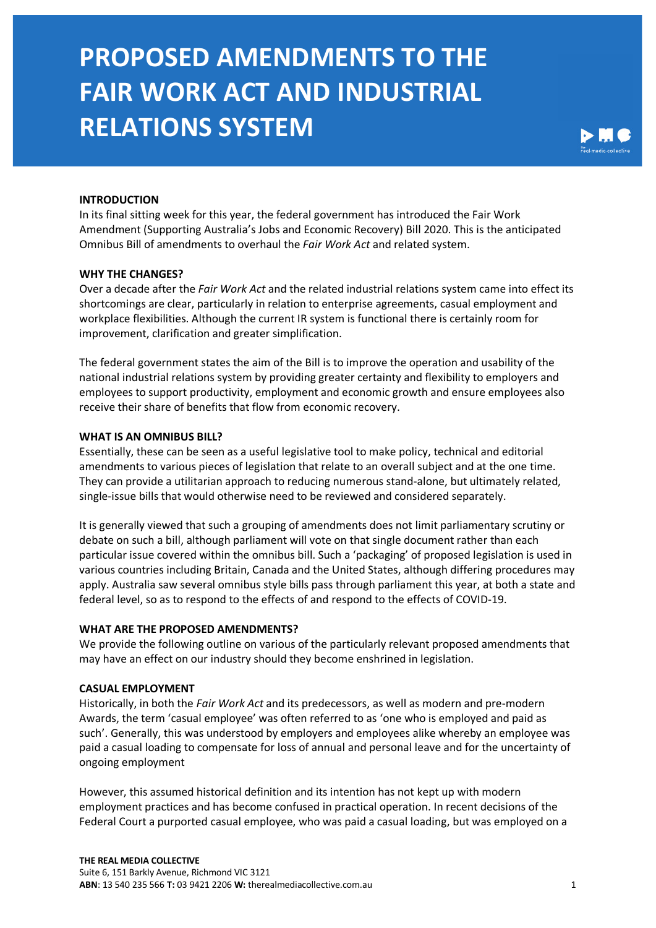

### **INTRODUCTION**

In its final sitting week for this year, the federal government has introduced the Fair Work Amendment (Supporting Australia's Jobs and Economic Recovery) Bill 2020. This is the anticipated Omnibus Bill of amendments to overhaul the *Fair Work Act* and related system.

### **WHY THE CHANGES?**

Over a decade after the *Fair Work Act* and the related industrial relations system came into effect its shortcomings are clear, particularly in relation to enterprise agreements, casual employment and workplace flexibilities. Although the current IR system is functional there is certainly room for improvement, clarification and greater simplification.

The federal government states the aim of the Bill is to improve the operation and usability of the national industrial relations system by providing greater certainty and flexibility to employers and employees to support productivity, employment and economic growth and ensure employees also receive their share of benefits that flow from economic recovery.

#### **WHAT IS AN OMNIBUS BILL?**

Essentially, these can be seen as a useful legislative tool to make policy, technical and editorial amendments to various pieces of legislation that relate to an overall subject and at the one time. They can provide a utilitarian approach to reducing numerous stand-alone, but ultimately related, single-issue bills that would otherwise need to be reviewed and considered separately.

It is generally viewed that such a grouping of amendments does not limit parliamentary scrutiny or debate on such a bill, although parliament will vote on that single document rather than each particular issue covered within the omnibus bill. Such a 'packaging' of proposed legislation is used in various countries including Britain, Canada and the United States, although differing procedures may apply. Australia saw several omnibus style bills pass through parliament this year, at both a state and federal level, so as to respond to the effects of and respond to the effects of COVID-19.

### **WHAT ARE THE PROPOSED AMENDMENTS?**

We provide the following outline on various of the particularly relevant proposed amendments that may have an effect on our industry should they become enshrined in legislation.

#### **CASUAL EMPLOYMENT**

Historically, in both the *Fair Work Act* and its predecessors, as well as modern and pre-modern Awards, the term 'casual employee' was often referred to as 'one who is employed and paid as such'. Generally, this was understood by employers and employees alike whereby an employee was paid a casual loading to compensate for loss of annual and personal leave and for the uncertainty of ongoing employment

However, this assumed historical definition and its intention has not kept up with modern employment practices and has become confused in practical operation. In recent decisions of the Federal Court a purported casual employee, who was paid a casual loading, but was employed on a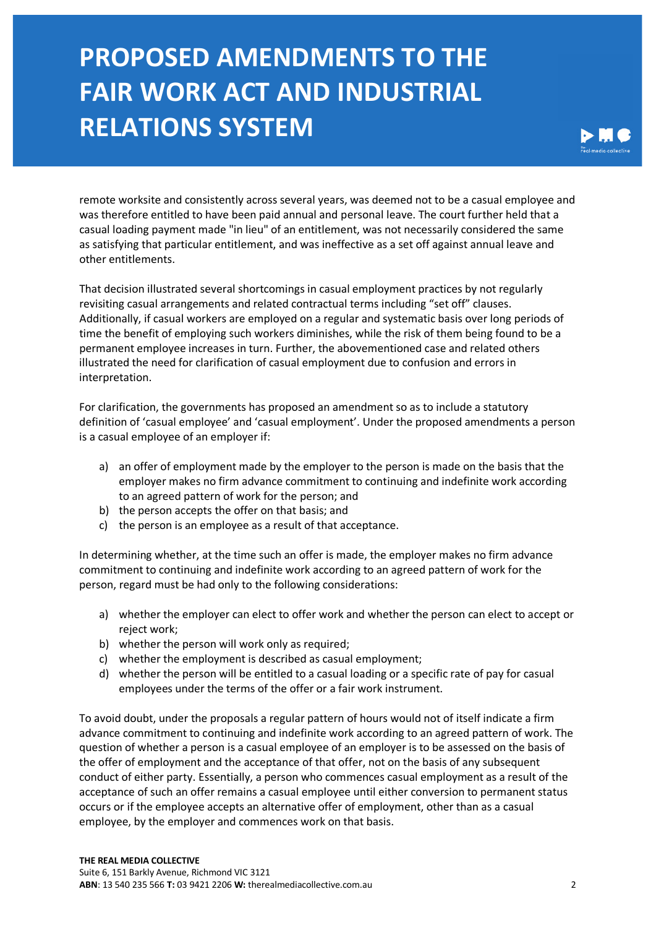

remote worksite and consistently across several years, was deemed not to be a casual employee and was therefore entitled to have been paid annual and personal leave. The court further held that a casual loading payment made "in lieu" of an entitlement, was not necessarily considered the same as satisfying that particular entitlement, and was ineffective as a set off against annual leave and other entitlements.

That decision illustrated several shortcomings in casual employment practices by not regularly revisiting casual arrangements and related contractual terms including "set off" clauses. Additionally, if casual workers are employed on a regular and systematic basis over long periods of time the benefit of employing such workers diminishes, while the risk of them being found to be a permanent employee increases in turn. Further, the abovementioned case and related others illustrated the need for clarification of casual employment due to confusion and errors in interpretation.

For clarification, the governments has proposed an amendment so as to include a statutory definition of 'casual employee' and 'casual employment'. Under the proposed amendments a person is a casual employee of an employer if:

- a) an offer of employment made by the employer to the person is made on the basis that the employer makes no firm advance commitment to continuing and indefinite work according to an agreed pattern of work for the person; and
- b) the person accepts the offer on that basis; and
- c) the person is an employee as a result of that acceptance.

In determining whether, at the time such an offer is made, the employer makes no firm advance commitment to continuing and indefinite work according to an agreed pattern of work for the person, regard must be had only to the following considerations:

- a) whether the employer can elect to offer work and whether the person can elect to accept or reject work;
- b) whether the person will work only as required;
- c) whether the employment is described as casual employment;
- d) whether the person will be entitled to a casual loading or a specific rate of pay for casual employees under the terms of the offer or a fair work instrument.

To avoid doubt, under the proposals a regular pattern of hours would not of itself indicate a firm advance commitment to continuing and indefinite work according to an agreed pattern of work. The question of whether a person is a casual employee of an employer is to be assessed on the basis of the offer of employment and the acceptance of that offer, not on the basis of any subsequent conduct of either party. Essentially, a person who commences casual employment as a result of the acceptance of such an offer remains a casual employee until either conversion to permanent status occurs or if the employee accepts an alternative offer of employment, other than as a casual employee, by the employer and commences work on that basis.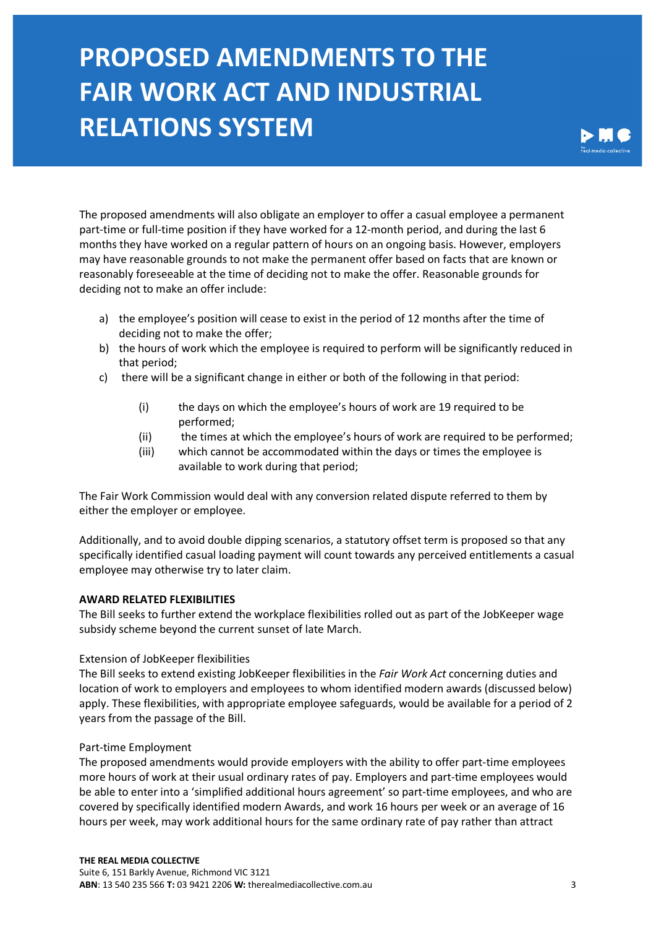

The proposed amendments will also obligate an employer to offer a casual employee a permanent part-time or full-time position if they have worked for a 12-month period, and during the last 6 months they have worked on a regular pattern of hours on an ongoing basis. However, employers may have reasonable grounds to not make the permanent offer based on facts that are known or reasonably foreseeable at the time of deciding not to make the offer. Reasonable grounds for deciding not to make an offer include:

- a) the employee's position will cease to exist in the period of 12 months after the time of deciding not to make the offer;
- b) the hours of work which the employee is required to perform will be significantly reduced in that period;
- c) there will be a significant change in either or both of the following in that period:
	- (i) the days on which the employee's hours of work are 19 required to be performed;
	- (ii) the times at which the employee's hours of work are required to be performed;
	- (iii) which cannot be accommodated within the days or times the employee is available to work during that period;

The Fair Work Commission would deal with any conversion related dispute referred to them by either the employer or employee.

Additionally, and to avoid double dipping scenarios, a statutory offset term is proposed so that any specifically identified casual loading payment will count towards any perceived entitlements a casual employee may otherwise try to later claim.

### **AWARD RELATED FLEXIBILITIES**

The Bill seeks to further extend the workplace flexibilities rolled out as part of the JobKeeper wage subsidy scheme beyond the current sunset of late March.

### Extension of JobKeeper flexibilities

The Bill seeks to extend existing JobKeeper flexibilities in the *Fair Work Act* concerning duties and location of work to employers and employees to whom identified modern awards (discussed below) apply. These flexibilities, with appropriate employee safeguards, would be available for a period of 2 years from the passage of the Bill.

### Part-time Employment

The proposed amendments would provide employers with the ability to offer part-time employees more hours of work at their usual ordinary rates of pay. Employers and part-time employees would be able to enter into a 'simplified additional hours agreement' so part-time employees, and who are covered by specifically identified modern Awards, and work 16 hours per week or an average of 16 hours per week, may work additional hours for the same ordinary rate of pay rather than attract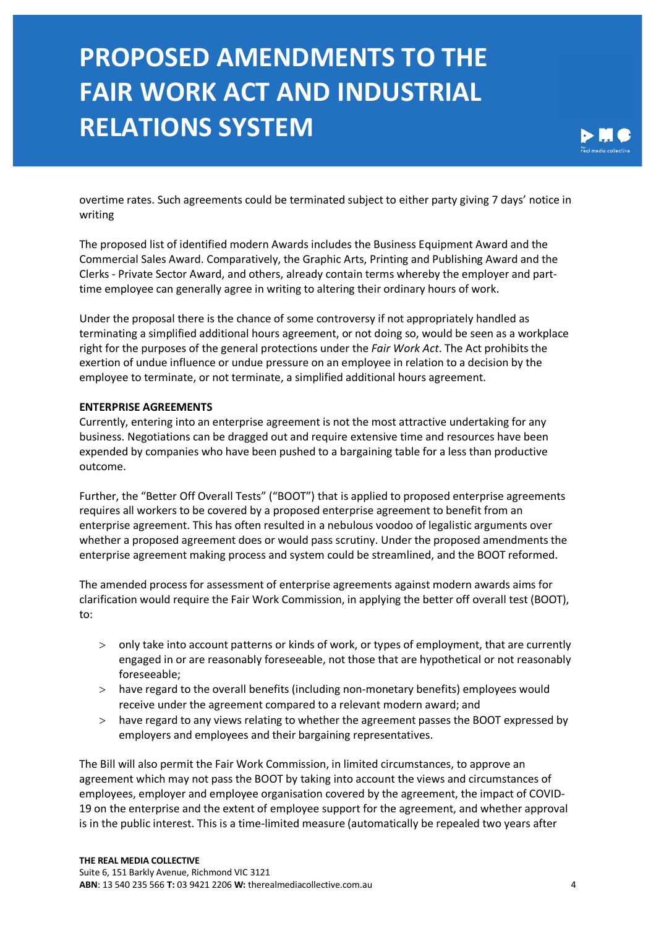

overtime rates. Such agreements could be terminated subject to either party giving 7 days' notice in writing

The proposed list of identified modern Awards includes the Business Equipment Award and the Commercial Sales Award. Comparatively, the Graphic Arts, Printing and Publishing Award and the Clerks - Private Sector Award, and others, already contain terms whereby the employer and parttime employee can generally agree in writing to altering their ordinary hours of work.

Under the proposal there is the chance of some controversy if not appropriately handled as terminating a simplified additional hours agreement, or not doing so, would be seen as a workplace right for the purposes of the general protections under the *Fair Work Act*. The Act prohibits the exertion of undue influence or undue pressure on an employee in relation to a decision by the employee to terminate, or not terminate, a simplified additional hours agreement.

#### **ENTERPRISE AGREEMENTS**

Currently, entering into an enterprise agreement is not the most attractive undertaking for any business. Negotiations can be dragged out and require extensive time and resources have been expended by companies who have been pushed to a bargaining table for a less than productive outcome.

Further, the "Better Off Overall Tests" ("BOOT") that is applied to proposed enterprise agreements requires all workers to be covered by a proposed enterprise agreement to benefit from an enterprise agreement. This has often resulted in a nebulous voodoo of legalistic arguments over whether a proposed agreement does or would pass scrutiny. Under the proposed amendments the enterprise agreement making process and system could be streamlined, and the BOOT reformed.

The amended process for assessment of enterprise agreements against modern awards aims for clarification would require the Fair Work Commission, in applying the better off overall test (BOOT), to:

- > only take into account patterns or kinds of work, or types of employment, that are currently engaged in or are reasonably foreseeable, not those that are hypothetical or not reasonably foreseeable;
- > have regard to the overall benefits (including non-monetary benefits) employees would receive under the agreement compared to a relevant modern award; and
- > have regard to any views relating to whether the agreement passes the BOOT expressed by employers and employees and their bargaining representatives.

The Bill will also permit the Fair Work Commission, in limited circumstances, to approve an agreement which may not pass the BOOT by taking into account the views and circumstances of employees, employer and employee organisation covered by the agreement, the impact of COVID-19 on the enterprise and the extent of employee support for the agreement, and whether approval is in the public interest. This is a time-limited measure (automatically be repealed two years after